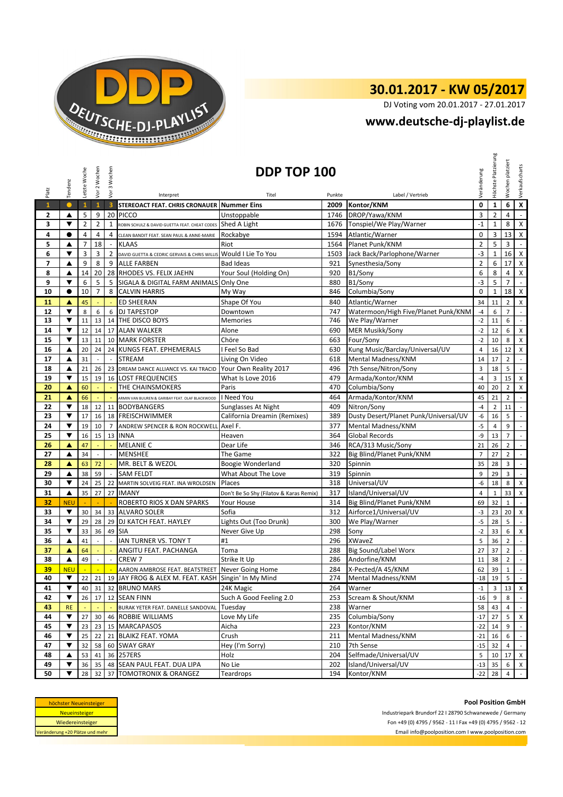

## **30.01.2017 - KW 05/2017**

DJ Voting vom 20.01.2017 - 27.01.2017

## **[w](http://www.deutsche-dj-playlist.de/)ww.deutsche-dj-playlist.de**

| Platz        | Tendenz                                                                                                                         | Letzte Woche   | Vor 2 Wochen             | Vor 3 Wochen                | Interpret                                                 | DDP TOP 100<br>Titel                    | Punkte | Label / Vertrieb                      | Veränderung    | Höchste Platzierung | platziert<br>Wochen      | Verkaufscharts              |
|--------------|---------------------------------------------------------------------------------------------------------------------------------|----------------|--------------------------|-----------------------------|-----------------------------------------------------------|-----------------------------------------|--------|---------------------------------------|----------------|---------------------|--------------------------|-----------------------------|
| $\mathbf{1}$ | $\bullet$                                                                                                                       | $\mathbf{1}$   | $\mathbf{1}$             | $\overline{\mathbf{3}}$     | STEREOACT FEAT. CHRIS CRONAUER Nummer Eins                |                                         | 2009   | Kontor/KNM                            | 0              | $\mathbf{1}$        | 6                        | $\pmb{\mathsf{x}}$          |
| 2            | ▲                                                                                                                               | 5              | 9                        | 20                          | <b>PICCO</b>                                              | Unstoppable                             | 1746   | DROP/Yawa/KNM                         | 3              | $\overline{2}$      | 4                        | $\mathbf{r}$                |
| 3            | ▼                                                                                                                               | $\overline{2}$ | $\overline{2}$           | $\mathbf{1}$                | ROBIN SCHULZ & DAVID GUETTA FEAT. CHEAT CODES             | Shed A Light                            | 1676   | Tonspiel/We Play/Warner               | $-1$           | $\mathbf{1}$        | 8                        | X                           |
| 4            | $\bullet$                                                                                                                       | 4              | 4                        | 4                           | CLEAN BANDIT FEAT. SEAN PAUL & ANNE-MARIE                 | Rockabye                                | 1594   | Atlantic/Warner                       | $\pmb{0}$      | 3                   | 13                       | $\mathsf{X}$                |
| 5            | ▲                                                                                                                               | $\overline{7}$ | 18                       |                             | <b>KLAAS</b>                                              | Riot                                    | 1564   | Planet Punk/KNM                       | $\overline{2}$ | 5                   | 3                        | $\overline{\phantom{a}}$    |
| 6            | ▼                                                                                                                               | 3              | 3                        | $\overline{2}$              | DAVID GUETTA & CEDRIC GERVAIS & CHRIS WILLIS              | Would I Lie To You                      | 1503   | Jack Back/Parlophone/Warner           | $-3$           | $\mathbf{1}$        | 16                       | X                           |
| 7            | ▲                                                                                                                               | 9              | 8                        | 9                           | <b>ALLE FARBEN</b>                                        | <b>Bad Ideas</b>                        | 921    | Synesthesia/Sony                      | $\overline{2}$ | 6                   | 17                       | X                           |
| 8            | ▲                                                                                                                               | 14             | 20                       |                             | 28 RHODES VS. FELIX JAEHN                                 | Your Soul (Holding On)                  | 920    | B1/Sony                               | 6              | 8                   | 4                        | $\mathsf X$                 |
| 9            | ▼                                                                                                                               | 6              | 5                        | 5                           | SIGALA & DIGITAL FARM ANIMALS Only One                    |                                         | 880    | B1/Sony                               | $-3$           | 5                   | $\overline{7}$           | $\blacksquare$              |
| 10           | $\bullet$                                                                                                                       | 10             | $\overline{7}$           | 8                           | <b>CALVIN HARRIS</b>                                      | My Way                                  | 846    | Columbia/Sony                         | $\mathbf 0$    | $\mathbf{1}$        | 18 <sup>1</sup>          | X                           |
|              |                                                                                                                                 |                |                          |                             |                                                           |                                         |        |                                       |                |                     |                          |                             |
| 11           | ▲                                                                                                                               | 45             |                          | ÷                           | <b>ED SHEERAN</b>                                         | Shape Of You                            | 840    | Atlantic/Warner                       | 34             | 11                  | $\overline{2}$           | X                           |
| 12           | $\blacktriangledown$                                                                                                            | 8              | 6                        | 6                           | <b>DJ TAPESTOP</b>                                        | Downtown                                | 747    | Watermoon/High Five/Planet Punk/KNM   | $-4$           | 6                   | $\overline{7}$           | $\overline{\phantom{a}}$    |
| 13           | ▼                                                                                                                               | 11             | 13                       | 14                          | THE DISCO BOYS                                            | <b>Memories</b>                         | 746    | We Play/Warner                        | $-2$           | 11                  | 6                        | $\overline{\phantom{a}}$    |
| 14           | ▼                                                                                                                               | 12             | 14                       |                             | 17 ALAN WALKER                                            | Alone                                   | 690    | <b>MER Musikk/Sony</b>                | $-2$           | 12                  | 6                        | X                           |
| 15           | ▼                                                                                                                               | 13             | 11                       |                             | 10 MARK FORSTER                                           | Chöre                                   | 663    | Four/Sony                             | $-2$           | 10                  | 8                        | X                           |
| 16           | ▲                                                                                                                               | 20             | 24                       | 24                          | KUNGS FEAT. EPHEMERALS                                    | I Feel So Bad                           | 630    | Kung Music/Barclay/Universal/UV       | $\overline{4}$ | 16                  | 12                       | X                           |
| 17           | ▲                                                                                                                               | 31             | $\sim$                   | $\mathcal{L}_{\mathcal{A}}$ | <b>STREAM</b>                                             | Living On Video                         | 618    | Mental Madness/KNM                    | 14             | 17                  | $\overline{2}$           | $\overline{\phantom{a}}$    |
| 18           | ▲                                                                                                                               | 21             | 26                       | 23                          | DREAM DANCE ALLIANCE VS. KAI TRACID Your Own Reality 2017 |                                         | 496    | 7th Sense/Nitron/Sony                 | 3              | 18                  | 5                        | $\blacksquare$              |
| 19           | ▼                                                                                                                               | 15             | 19                       | 16                          | <b>LOST FREQUENCIES</b>                                   | What Is Love 2016                       | 479    | Armada/Kontor/KNM                     | $-4$           | 3                   | 15                       | X                           |
| 20           | A                                                                                                                               | 60             |                          | ÷.                          | THE CHAINSMOKERS                                          | Paris                                   | 470    | Columbia/Sony                         | 40             | 20                  | $\overline{2}$           | X                           |
| 21           | ▲                                                                                                                               | 66             |                          |                             | ARMIN VAN BUUREN & GARIBAY FEAT. OLAF BLACKWOOD           | I Need You                              | 464    | Armada/Kontor/KNM                     | 45             | 21                  | $\overline{2}$           | $\mathbb{Z}^{\mathbb{Z}}$   |
| 22           | ▼                                                                                                                               | 18             | 12                       | 11                          | <b>BODYBANGERS</b>                                        | Sunglasses At Night                     | 409    | Nitron/Sony                           | $-4$           | $\overline{2}$      | 11                       | $\mathbb{L}^{\mathbb{N}}$   |
| 23           | ▼                                                                                                                               | 17             | 16                       | 18                          | <b>FREISCHWIMMER</b>                                      | California Dreamin (Remixes)            | 389    | Dusty Desert/Planet Punk/Universal/UV | -6             | 16                  | 5                        | $\mathbb{L}$                |
| 24           | $\overline{\mathbf{v}}$                                                                                                         | 19             | 10                       | $\overline{7}$              | ANDREW SPENCER & RON ROCKWELL Axel F.                     |                                         | 377    | Mental Madness/KNM                    | $-5$           | 4                   | 9                        | $\mathcal{L}_{\mathcal{A}}$ |
| 25           | ▼                                                                                                                               | 16             | 15                       | 13                          | <b>INNA</b>                                               | Heaven                                  | 364    | <b>Global Records</b>                 | $-9$           | 13                  | $\overline{7}$           | $\mathbb{Z}^2$              |
| 26           | ▲                                                                                                                               | 47             |                          |                             | <b>MELANIE C</b>                                          | Dear Life                               | 346    | RCA/313 Music/Sony                    | 21             | 26                  | $\overline{2}$           | $\mathbb{L}$                |
| 27           | ▲                                                                                                                               | 34             |                          |                             | <b>MENSHEE</b>                                            | The Game                                | 322    | Big Blind/Planet Punk/KNM             | $\overline{7}$ | 27                  | $\overline{2}$           | $\mathbb{L}$                |
| 28           | ▲                                                                                                                               | 63             | 72                       | $\Box$                      | MR. BELT & WEZOL                                          | Boogie Wonderland                       | 320    | Spinnin                               | 35             | 28                  | 3                        | $\mathbb{L}$                |
| 29           | ▲                                                                                                                               | 38             | 59                       |                             | <b>SAM FELDT</b>                                          | What About The Love                     | 319    | Spinnin                               | 9              | 29                  | 3                        | $\mathcal{L}_{\mathcal{A}}$ |
| 30           | $\blacktriangledown$                                                                                                            | 24             | 25                       | 22                          | MARTIN SOLVEIG FEAT. INA WROLDSEN                         | Places                                  | 318    | Universal/UV                          | -6             | 18                  | 8                        | X                           |
| 31           | ▲                                                                                                                               | 35             | 27                       | 27                          | <b>IMANY</b>                                              | Don't Be So Shy (Filatov & Karas Remix) | 317    | Island/Universal/UV                   | $\overline{4}$ | $\mathbf{1}$        | 33                       | $\mathsf X$                 |
| 32           | <b>NEU</b>                                                                                                                      |                |                          |                             | ROBERTO RIOS X DAN SPARKS                                 | Your House                              | 314    | Big Blind/Planet Punk/KNM             | 69             | 32                  | $\mathbf{1}$             | $\overline{\phantom{a}}$    |
| 33           | ▼                                                                                                                               | 30             | 34                       | 33                          | <b>ALVARO SOLER</b>                                       | Sofia                                   | 312    | Airforce1/Universal/UV                | $-3$           | 23                  | 20                       | X                           |
| 34           | ▼                                                                                                                               | 29             | 28                       | 29                          | DJ KATCH FEAT. HAYLEY                                     | Lights Out (Too Drunk)                  | 300    | We Play/Warner                        | $-5$           | 28                  | 5                        | $\overline{\phantom{a}}$    |
| 35           | ▼                                                                                                                               | 33             | 36                       | 49                          | <b>SIA</b>                                                | Never Give Up                           | 298    | Sony                                  | $-2$           | 33                  | 6                        | X                           |
| 36           | ▲                                                                                                                               | 41             |                          |                             | IAN TURNER VS. TONY T                                     | #1                                      | 296    | XWaveZ                                | 5              | 36                  | $\overline{2}$           | $\overline{\phantom{a}}$    |
| 37           | ▲                                                                                                                               | 64             |                          |                             | ANGITU FEAT. PACHANGA                                     | Toma                                    | 288    | Big Sound/Label Worx                  | 27             | 37                  | $\overline{2}$           | $\mathcal{L}^{\mathcal{A}}$ |
| 38           | ▲                                                                                                                               | 49             | $\overline{\phantom{a}}$ | $\overline{\phantom{a}}$    | CREW <sub>7</sub>                                         | Strike It Up                            | 286    | Andorfine/KNM                         | 11             | 38                  | $\overline{2}$           | $\mathbb{R}^{\mathbb{Z}}$   |
| 39           | <b>NEU</b>                                                                                                                      | $\mathbb{Z}$   | $\mathbb{Z}^2$           | $\sim$                      | AARON AMBROSE FEAT. BEATSTREET Never Going Home           |                                         | 284    | X-Pected/A 45/KNM                     | 62             | 39                  | $\mathbf{1}$             | $\overline{\phantom{a}}$    |
| 40           | $\blacktriangledown$                                                                                                            |                |                          |                             | 22 21 19 JAY FROG & ALEX M. FEAT. KASH Singin' In My Mind |                                         |        | 274 Mental Madness/KNM                |                | $-18$ 19            | $\overline{\phantom{0}}$ |                             |
| 41           | ▼                                                                                                                               | 40             | 31                       |                             | 32 BRUNO MARS                                             | 24K Magic                               | 264    | Warner                                | $-1$           | 3 <sup>1</sup>      |                          | 13 X                        |
| 42           | ▼                                                                                                                               | 26             | 17                       |                             | 12 SEAN FINN                                              | Such A Good Feeling 2.0                 | 253    | Scream & Shout/KNM                    | $-16$          | 9                   | 8                        | $\sim$                      |
| 43           | <b>RE</b>                                                                                                                       |                |                          |                             | BURAK YETER FEAT. DANELLE SANDOVAL Tuesday                |                                         | 238    | Warner                                | 58             | 43                  | $\overline{4}$           | $\blacksquare$              |
| 44           | $\blacktriangledown$                                                                                                            | 27             | 30                       |                             | 46 ROBBIE WILLIAMS                                        | Love My Life                            | 235    | Columbia/Sony                         | $-17$          | 27                  | 5 <sup>1</sup>           | X                           |
| 45           | ▼                                                                                                                               | 23             | 23                       |                             | 15 MARCAPASOS                                             | Aicha                                   | 223    | Kontor/KNM                            | $-22$          | 14                  | 9                        | $\mathcal{L}$               |
| 46           | $\blacktriangledown$                                                                                                            | 25             | 22                       |                             | 21 BLAIKZ FEAT. YOMA                                      | Crush                                   | 211    | Mental Madness/KNM                    | $-21$          | 16                  | 6                        | $\mathbb{L}^{\mathbb{Z}}$   |
| 47           | ▼                                                                                                                               | 32             | 58                       |                             | 60 SWAY GRAY                                              | Hey (I'm Sorry)                         | 210    | 7th Sense                             | $-15$          | 32                  | $\overline{4}$           | $\mathbb{Z}^{\mathbb{Z}}$   |
| 48           | ▲                                                                                                                               | 53             | 41                       |                             | 36 257ERS                                                 | Holz                                    | 204    | Selfmade/Universal/UV                 | 5              |                     | 10 17 X                  |                             |
| 49           | $\blacktriangledown$                                                                                                            | 36             | 35                       |                             | 48 SEAN PAUL FEAT. DUA LIPA                               | No Lie                                  | 202    | Island/Universal/UV                   | $-13$          | 35                  | 6                        | $\mathsf{X}$                |
| 50           | ▼                                                                                                                               | 28             | 32                       |                             | 37 TOMOTRONIX & ORANGEZ                                   | Teardrops                               | 194    | Kontor/KNM                            | $-22$          | 28                  | $\overline{4}$           | $\mathbb{Z}^{\mathbb{Z}}$   |
|              | <b>Pool Position GmbH</b><br>höchster Neueinsteiger<br>Neueinsteiger<br>Industriepark Brundorf 22 I 28790 Schwanewede / Germany |                |                          |                             |                                                           |                                         |        |                                       |                |                     |                          |                             |

| höchster Neueinsteiger          |
|---------------------------------|
| <b>Neueinsteiger</b>            |
| Wiedereinsteiger                |
| Veränderung +20 Plätze und mehr |

**Pool Position GmbH**<br>Industriepark Brundorf 22 I 28790 Schwanewede / Germany Fon +49 (0) 4795 / 9562 - 11 I Fax +49 (0) 4795 / 9562 - 11 I Fax +49 (0) 4795 / 9562 - 12<br>Email info@poolposition.com I www.poolposition.com Email info@poolposition.com I www.poolposition.com